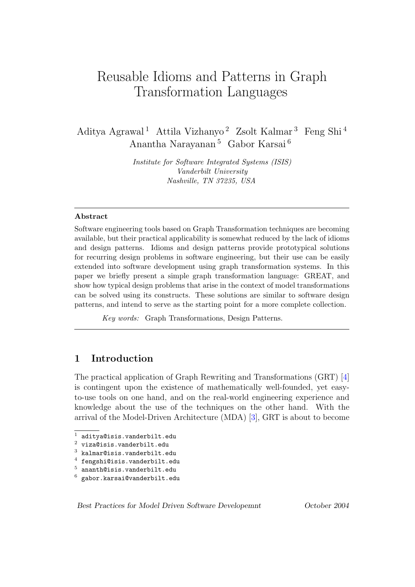# Reusable Idioms and Patterns in Graph Transformation Languages

Aditya Agrawal <sup>1</sup> Attila Vizhanyo <sup>2</sup> Zsolt Kalmar <sup>3</sup> Feng Shi <sup>4</sup> Anantha Narayanan <sup>5</sup> Gabor Karsai <sup>6</sup>

> Institute for Software Integrated Systems (ISIS) Vanderbilt University Nashville, TN 37235, USA

#### Abstract

Software engineering tools based on Graph Transformation techniques are becoming available, but their practical applicability is somewhat reduced by the lack of idioms and design patterns. Idioms and design patterns provide prototypical solutions for recurring design problems in software engineering, but their use can be easily extended into software development using graph transformation systems. In this paper we briefly present a simple graph transformation language: GREAT, and show how typical design problems that arise in the context of model transformations can be solved using its constructs. These solutions are similar to software design patterns, and intend to serve as the starting point for a more complete collection.

Key words: Graph Transformations, Design Patterns.

## 1 Introduction

The practical application of Graph Rewriting and Transformations (GRT) [\[4\]](#page-12-0) is contingent upon the existence of mathematically well-founded, yet easyto-use tools on one hand, and on the real-world engineering experience and knowledge about the use of the techniques on the other hand. With the arrival of the Model-Driven Architecture (MDA) [\[3\]](#page-12-1), GRT is about to become

Best Practices for Model Driven Software Developemnt October 2004

 $^{\rm 1}$ aditya@isis.vanderbilt.edu

<sup>2</sup> viza@isis.vanderbilt.edu

 $^3$ kalmar@isis.vanderbilt.edu

 $^4$  fengshi@isis.vanderbilt.edu

 $^5\,$ ananth@isis.vanderbilt.edu

 $^6\,$ gabor.karsai@vanderbilt.edu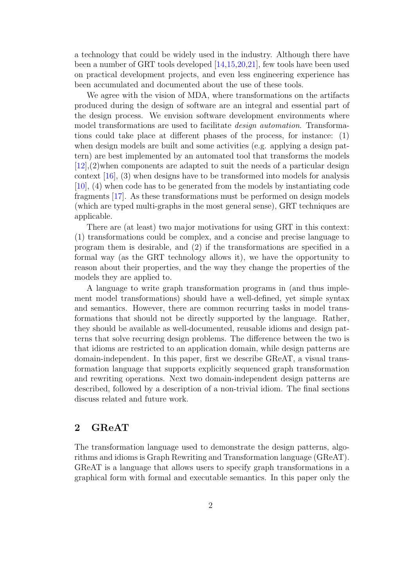a technology that could be widely used in the industry. Although there have been a number of GRT tools developed [\[14,](#page-13-0)[15,](#page-13-1)[20,](#page-14-0)[21\]](#page-14-1), few tools have been used on practical development projects, and even less engineering experience has been accumulated and documented about the use of these tools.

We agree with the vision of MDA, where transformations on the artifacts produced during the design of software are an integral and essential part of the design process. We envision software development environments where model transformations are used to facilitate *design automation*. Transformations could take place at different phases of the process, for instance: (1) when design models are built and some activities (e.g. applying a design pattern) are best implemented by an automated tool that transforms the models [\[12\]](#page-13-2),(2)when components are adapted to suit the needs of a particular design context [\[16\]](#page-13-3), (3) when designs have to be transformed into models for analysis [\[10\]](#page-13-4), (4) when code has to be generated from the models by instantiating code fragments [\[17\]](#page-13-5). As these transformations must be performed on design models (which are typed multi-graphs in the most general sense), GRT techniques are applicable.

There are (at least) two major motivations for using GRT in this context: (1) transformations could be complex, and a concise and precise language to program them is desirable, and (2) if the transformations are specified in a formal way (as the GRT technology allows it), we have the opportunity to reason about their properties, and the way they change the properties of the models they are applied to.

A language to write graph transformation programs in (and thus implement model transformations) should have a well-defined, yet simple syntax and semantics. However, there are common recurring tasks in model transformations that should not be directly supported by the language. Rather, they should be available as well-documented, reusable idioms and design patterns that solve recurring design problems. The difference between the two is that idioms are restricted to an application domain, while design patterns are domain-independent. In this paper, first we describe GReAT, a visual transformation language that supports explicitly sequenced graph transformation and rewriting operations. Next two domain-independent design patterns are described, followed by a description of a non-trivial idiom. The final sections discuss related and future work.

# 2 GReAT

The transformation language used to demonstrate the design patterns, algorithms and idioms is Graph Rewriting and Transformation language (GReAT). GReAT is a language that allows users to specify graph transformations in a graphical form with formal and executable semantics. In this paper only the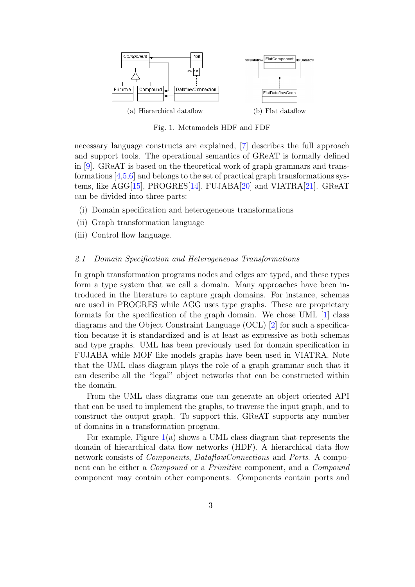

<span id="page-2-0"></span>Fig. 1. Metamodels HDF and FDF

necessary language constructs are explained, [\[7\]](#page-13-6) describes the full approach and support tools. The operational semantics of GReAT is formally defined in [\[9\]](#page-13-7). GReAT is based on the theoretical work of graph grammars and transformations [\[4](#page-12-0)[,5](#page-12-2)[,6\]](#page-13-8) and belongs to the set of practical graph transformations systems, like AGG[\[15\]](#page-13-1), PROGRES[\[14\]](#page-13-0), FUJABA[\[20\]](#page-14-0) and VIATRA[\[21\]](#page-14-1). GReAT can be divided into three parts:

- (i) Domain specification and heterogeneous transformations
- (ii) Graph transformation language
- (iii) Control flow language.

#### 2.1 Domain Specification and Heterogeneous Transformations

In graph transformation programs nodes and edges are typed, and these types form a type system that we call a domain. Many approaches have been introduced in the literature to capture graph domains. For instance, schemas are used in PROGRES while AGG uses type graphs. These are proprietary formats for the specification of the graph domain. We chose UML [\[1\]](#page-12-3) class diagrams and the Object Constraint Language (OCL) [\[2\]](#page-12-4) for such a specification because it is standardized and is at least as expressive as both schemas and type graphs. UML has been previously used for domain specification in FUJABA while MOF like models graphs have been used in VIATRA. Note that the UML class diagram plays the role of a graph grammar such that it can describe all the "legal" object networks that can be constructed within the domain.

From the UML class diagrams one can generate an object oriented API that can be used to implement the graphs, to traverse the input graph, and to construct the output graph. To support this, GReAT supports any number of domains in a transformation program.

For example, Figure [1\(](#page-2-0)a) shows a UML class diagram that represents the domain of hierarchical data flow networks (HDF). A hierarchical data flow network consists of *Components*, *DataflowConnections* and *Ports*. A component can be either a Compound or a Primitive component, and a Compound component may contain other components. Components contain ports and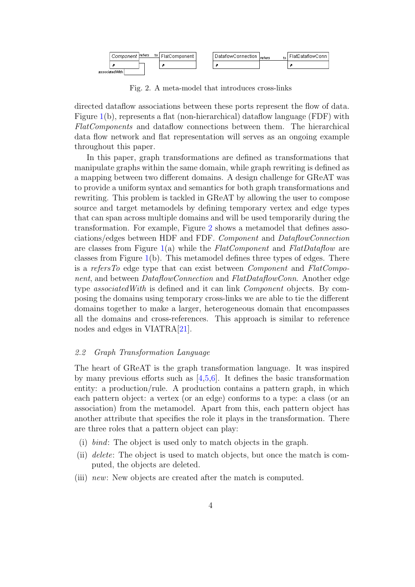

<span id="page-3-0"></span>Fig. 2. A meta-model that introduces cross-links

directed dataflow associations between these ports represent the flow of data. Figure [1\(](#page-2-0)b), represents a flat (non-hierarchical) dataflow language (FDF) with FlatComponents and dataflow connections between them. The hierarchical data flow network and flat representation will serves as an ongoing example throughout this paper.

In this paper, graph transformations are defined as transformations that manipulate graphs within the same domain, while graph rewriting is defined as a mapping between two different domains. A design challenge for GReAT was to provide a uniform syntax and semantics for both graph transformations and rewriting. This problem is tackled in GReAT by allowing the user to compose source and target metamodels by defining temporary vertex and edge types that can span across multiple domains and will be used temporarily during the transformation. For example, Figure [2](#page-3-0) shows a metamodel that defines associations/edges between HDF and FDF. Component and DataflowConnection are classes from Figure [1\(](#page-2-0)a) while the  $FlatComponent$  and  $FlatDatabase$  are classes from Figure  $1(b)$  $1(b)$ . This metamodel defines three types of edges. There is a refersTo edge type that can exist between Component and FlatComponent, and between DataflowConnection and FlatDataflowConn. Another edge type *associated With* is defined and it can link *Component* objects. By composing the domains using temporary cross-links we are able to tie the different domains together to make a larger, heterogeneous domain that encompasses all the domains and cross-references. This approach is similar to reference nodes and edges in VIATRA[\[21\]](#page-14-1).

#### 2.2 Graph Transformation Language

The heart of GReAT is the graph transformation language. It was inspired by many previous efforts such as  $[4,5,6]$  $[4,5,6]$  $[4,5,6]$ . It defines the basic transformation entity: a production/rule. A production contains a pattern graph, in which each pattern object: a vertex (or an edge) conforms to a type: a class (or an association) from the metamodel. Apart from this, each pattern object has another attribute that specifies the role it plays in the transformation. There are three roles that a pattern object can play:

- (i) bind: The object is used only to match objects in the graph.
- (ii) delete: The object is used to match objects, but once the match is computed, the objects are deleted.
- (iii) new: New objects are created after the match is computed.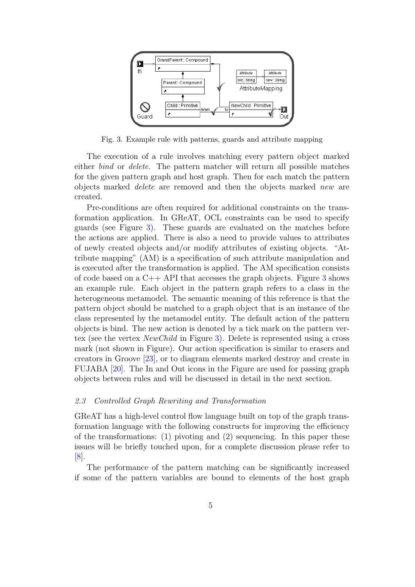

<span id="page-4-0"></span>Fig. 3. Example rule with patterns, guards and attribute mapping

The execution of a rule involves matching every pattern object marked either bind or delete. The pattern matcher will return all possible matches for the given pattern graph and host graph. Then for each match the pattern objects marked delete are removed and then the objects marked new are created.

Pre-conditions are often required for additional constraints on the transformation application. In GReAT, OCL constraints can be used to specify guards (see Figure [3\)](#page-4-0). These guards are evaluated on the matches before the actions are applied. There is also a need to provide values to attributes of newly created objects and/or modify attributes of existing objects. "Attribute mapping" (AM) is a specification of such attribute manipulation and is executed after the transformation is applied. The AM specification consists of code based on a  $C_{++}$  API that accesses the graph objects. Figure [3](#page-4-0) shows an example rule. Each object in the pattern graph refers to a class in the heterogeneous metamodel. The semantic meaning of this reference is that the pattern object should be matched to a graph object that is an instance of the class represented by the metamodel entity. The default action of the pattern objects is bind. The new action is denoted by a tick mark on the pattern vertex (see the vertex NewChild in Figure [3\)](#page-4-0). Delete is represented using a cross mark (not shown in Figure). Our action specification is similar to erasers and creators in Groove [\[23\]](#page-14-2), or to diagram elements marked destroy and create in FUJABA [\[20\]](#page-14-0). The In and Out icons in the Figure are used for passing graph objects between rules and will be discussed in detail in the next section.

#### 2.3 Controlled Graph Rewriting and Transformation

GReAT has a high-level control flow language built on top of the graph transformation language with the following constructs for improving the efficiency of the transformations: (1) pivoting and (2) sequencing. In this paper these issues will be briefly touched upon, for a complete discussion please refer to [\[8\]](#page-13-9).

The performance of the pattern matching can be significantly increased if some of the pattern variables are bound to elements of the host graph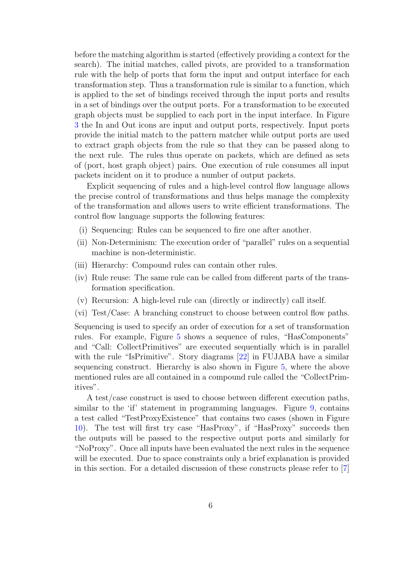before the matching algorithm is started (effectively providing a context for the search). The initial matches, called pivots, are provided to a transformation rule with the help of ports that form the input and output interface for each transformation step. Thus a transformation rule is similar to a function, which is applied to the set of bindings received through the input ports and results in a set of bindings over the output ports. For a transformation to be executed graph objects must be supplied to each port in the input interface. In Figure [3](#page-4-0) the In and Out icons are input and output ports, respectively. Input ports provide the initial match to the pattern matcher while output ports are used to extract graph objects from the rule so that they can be passed along to the next rule. The rules thus operate on packets, which are defined as sets of (port, host graph object) pairs. One execution of rule consumes all input packets incident on it to produce a number of output packets.

Explicit sequencing of rules and a high-level control flow language allows the precise control of transformations and thus helps manage the complexity of the transformation and allows users to write efficient transformations. The control flow language supports the following features:

- (i) Sequencing: Rules can be sequenced to fire one after another.
- (ii) Non-Determinism: The execution order of "parallel" rules on a sequential machine is non-deterministic.
- (iii) Hierarchy: Compound rules can contain other rules.
- (iv) Rule reuse: The same rule can be called from different parts of the transformation specification.
- (v) Recursion: A high-level rule can (directly or indirectly) call itself.
- (vi) Test/Case: A branching construct to choose between control flow paths.

Sequencing is used to specify an order of execution for a set of transformation rules. For example, Figure [5](#page-7-0) shows a sequence of rules, "HasComponents" and "Call: CollectPrimitives" are executed sequentially which is in parallel with the rule "IsPrimitive". Story diagrams [\[22\]](#page-14-3) in FUJABA have a similar sequencing construct. Hierarchy is also shown in Figure [5,](#page-7-0) where the above mentioned rules are all contained in a compound rule called the "CollectPrimitives".

A test/case construct is used to choose between different execution paths, similar to the 'if' statement in programming languages. Figure [9,](#page-10-0) contains a test called "TestProxyExistence" that contains two cases (shown in Figure [10\)](#page-10-1). The test will first try case "HasProxy", if "HasProxy" succeeds then the outputs will be passed to the respective output ports and similarly for "NoProxy". Once all inputs have been evaluated the next rules in the sequence will be executed. Due to space constraints only a brief explanation is provided in this section. For a detailed discussion of these constructs please refer to [\[7\]](#page-13-6)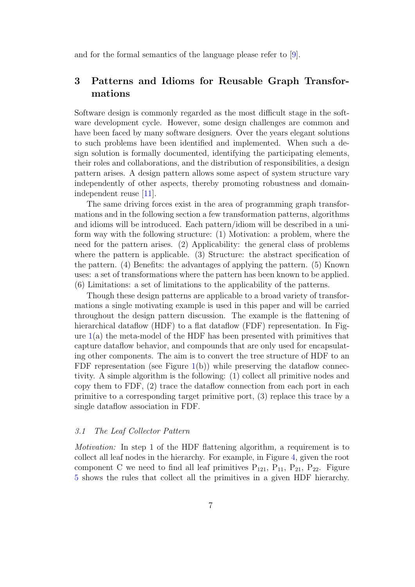and for the formal semantics of the language please refer to [\[9\]](#page-13-7).

# 3 Patterns and Idioms for Reusable Graph Transformations

Software design is commonly regarded as the most difficult stage in the software development cycle. However, some design challenges are common and have been faced by many software designers. Over the years elegant solutions to such problems have been identified and implemented. When such a design solution is formally documented, identifying the participating elements, their roles and collaborations, and the distribution of responsibilities, a design pattern arises. A design pattern allows some aspect of system structure vary independently of other aspects, thereby promoting robustness and domainindependent reuse [\[11\]](#page-13-10).

The same driving forces exist in the area of programming graph transformations and in the following section a few transformation patterns, algorithms and idioms will be introduced. Each pattern/idiom will be described in a uniform way with the following structure: (1) Motivation: a problem, where the need for the pattern arises. (2) Applicability: the general class of problems where the pattern is applicable. (3) Structure: the abstract specification of the pattern. (4) Benefits: the advantages of applying the pattern. (5) Known uses: a set of transformations where the pattern has been known to be applied. (6) Limitations: a set of limitations to the applicability of the patterns.

Though these design patterns are applicable to a broad variety of transformations a single motivating example is used in this paper and will be carried throughout the design pattern discussion. The example is the flattening of hierarchical dataflow (HDF) to a flat dataflow (FDF) representation. In Figure  $1(a)$  $1(a)$  the meta-model of the HDF has been presented with primitives that capture dataflow behavior, and compounds that are only used for encapsulating other components. The aim is to convert the tree structure of HDF to an FDF representation (see Figure [1\(](#page-2-0)b)) while preserving the dataflow connectivity. A simple algorithm is the following: (1) collect all primitive nodes and copy them to FDF, (2) trace the dataflow connection from each port in each primitive to a corresponding target primitive port, (3) replace this trace by a single dataflow association in FDF.

### 3.1 The Leaf Collector Pattern

Motivation: In step 1 of the HDF flattening algorithm, a requirement is to collect all leaf nodes in the hierarchy. For example, in Figure [4,](#page-7-1) given the root component C we need to find all leaf primitives  $P_{121}$ ,  $P_{11}$ ,  $P_{21}$ ,  $P_{22}$ . Figure [5](#page-7-0) shows the rules that collect all the primitives in a given HDF hierarchy.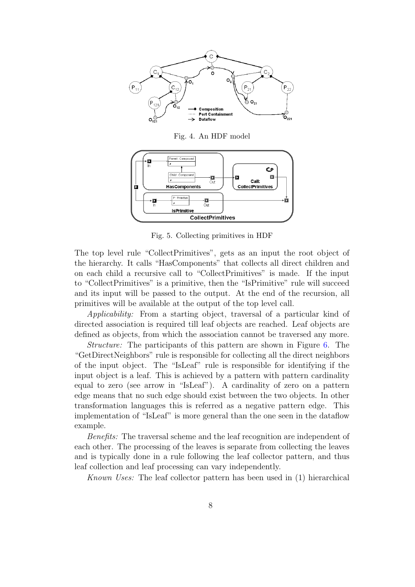

<span id="page-7-1"></span>Fig. 4. An HDF model



<span id="page-7-0"></span>Fig. 5. Collecting primitives in HDF

The top level rule "CollectPrimitives", gets as an input the root object of the hierarchy. It calls "HasComponents" that collects all direct children and on each child a recursive call to "CollectPrimitives" is made. If the input to "CollectPrimitives" is a primitive, then the "IsPrimitive" rule will succeed and its input will be passed to the output. At the end of the recursion, all primitives will be available at the output of the top level call.

Applicability: From a starting object, traversal of a particular kind of directed association is required till leaf objects are reached. Leaf objects are defined as objects, from which the association cannot be traversed any more.

Structure: The participants of this pattern are shown in Figure [6.](#page-8-0) The "GetDirectNeighbors" rule is responsible for collecting all the direct neighbors of the input object. The "IsLeaf" rule is responsible for identifying if the input object is a leaf. This is achieved by a pattern with pattern cardinality equal to zero (see arrow in "IsLeaf"). A cardinality of zero on a pattern edge means that no such edge should exist between the two objects. In other transformation languages this is referred as a negative pattern edge. This implementation of "IsLeaf" is more general than the one seen in the dataflow example.

Benefits: The traversal scheme and the leaf recognition are independent of each other. The processing of the leaves is separate from collecting the leaves and is typically done in a rule following the leaf collector pattern, and thus leaf collection and leaf processing can vary independently.

Known Uses: The leaf collector pattern has been used in (1) hierarchical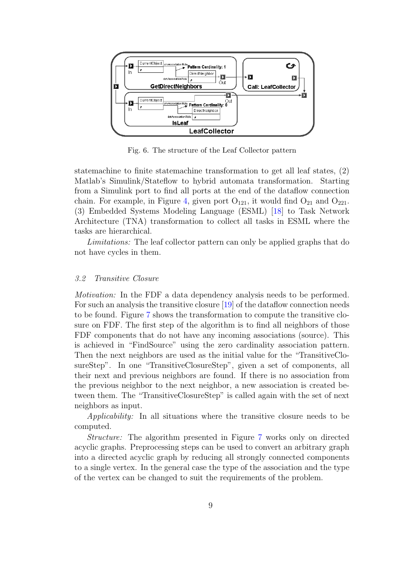

<span id="page-8-0"></span>Fig. 6. The structure of the Leaf Collector pattern

statemachine to finite statemachine transformation to get all leaf states, (2) Matlab's Simulink/Stateflow to hybrid automata transformation. Starting from a Simulink port to find all ports at the end of the dataflow connection chain. For example, in Figure [4,](#page-7-1) given port  $O_{121}$ , it would find  $O_{21}$  and  $O_{221}$ . (3) Embedded Systems Modeling Language (ESML) [\[18\]](#page-13-11) to Task Network Architecture (TNA) transformation to collect all tasks in ESML where the tasks are hierarchical.

Limitations: The leaf collector pattern can only be applied graphs that do not have cycles in them.

#### 3.2 Transitive Closure

Motivation: In the FDF a data dependency analysis needs to be performed. For such an analysis the transitive closure [\[19\]](#page-14-4) of the dataflow connection needs to be found. Figure [7](#page-9-0) shows the transformation to compute the transitive closure on FDF. The first step of the algorithm is to find all neighbors of those FDF components that do not have any incoming associations (source). This is achieved in "FindSource" using the zero cardinality association pattern. Then the next neighbors are used as the initial value for the "TransitiveClosureStep". In one "TransitiveClosureStep", given a set of components, all their next and previous neighbors are found. If there is no association from the previous neighbor to the next neighbor, a new association is created between them. The "TransitiveClosureStep" is called again with the set of next neighbors as input.

Applicability: In all situations where the transitive closure needs to be computed.

Structure: The algorithm presented in Figure [7](#page-9-0) works only on directed acyclic graphs. Preprocessing steps can be used to convert an arbitrary graph into a directed acyclic graph by reducing all strongly connected components to a single vertex. In the general case the type of the association and the type of the vertex can be changed to suit the requirements of the problem.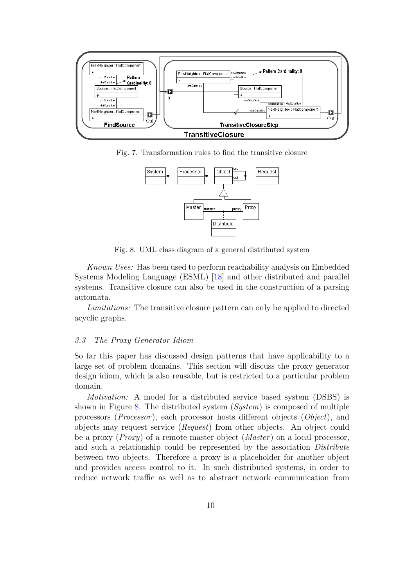

Fig. 7. Transformation rules to find the transitive closure

<span id="page-9-0"></span>

<span id="page-9-1"></span>Fig. 8. UML class diagram of a general distributed system

Known Uses: Has been used to perform reachability analysis on Embedded Systems Modeling Language (ESML) [\[18\]](#page-13-11) and other distributed and parallel systems. Transitive closure can also be used in the construction of a parsing automata.

Limitations: The transitive closure pattern can only be applied to directed acyclic graphs.

#### 3.3 The Proxy Generator Idiom

So far this paper has discussed design patterns that have applicability to a large set of problem domains. This section will discuss the proxy generator design idiom, which is also reusable, but is restricted to a particular problem domain.

Motivation: A model for a distributed service based system (DSBS) is shown in Figure [8.](#page-9-1) The distributed system (System) is composed of multiple processors (Processor ), each processor hosts different objects (Object), and objects may request service (Request) from other objects. An object could be a proxy (*Proxy*) of a remote master object (*Master*) on a local processor, and such a relationship could be represented by the association *Distribute* between two objects. Therefore a proxy is a placeholder for another object and provides access control to it. In such distributed systems, in order to reduce network traffic as well as to abstract network communication from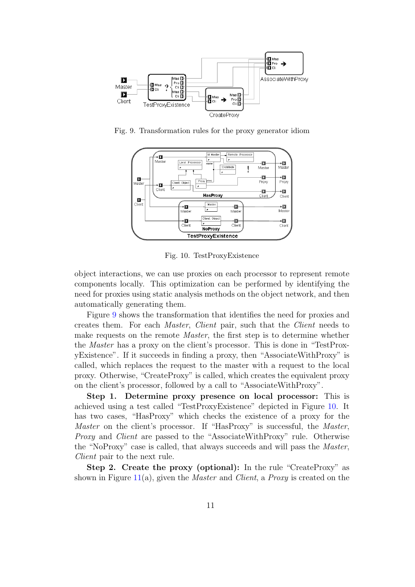

<span id="page-10-0"></span>Fig. 9. Transformation rules for the proxy generator idiom



<span id="page-10-1"></span>Fig. 10. TestProxyExistence

object interactions, we can use proxies on each processor to represent remote components locally. This optimization can be performed by identifying the need for proxies using static analysis methods on the object network, and then automatically generating them.

Figure [9](#page-10-0) shows the transformation that identifies the need for proxies and creates them. For each Master, Client pair, such that the Client needs to make requests on the remote *Master*, the first step is to determine whether the Master has a proxy on the client's processor. This is done in "TestProxyExistence". If it succeeds in finding a proxy, then "AssociateWithProxy" is called, which replaces the request to the master with a request to the local proxy. Otherwise, "CreateProxy" is called, which creates the equivalent proxy on the client's processor, followed by a call to "AssociateWithProxy".

Step 1. Determine proxy presence on local processor: This is achieved using a test called "TestProxyExistence" depicted in Figure [10.](#page-10-1) It has two cases, "HasProxy" which checks the existence of a proxy for the Master on the client's processor. If "HasProxy" is successful, the Master, Proxy and Client are passed to the "AssociateWithProxy" rule. Otherwise the "NoProxy" case is called, that always succeeds and will pass the Master, Client pair to the next rule.

Step 2. Create the proxy (optional): In the rule "CreateProxy" as shown in Figure [11\(](#page-11-0)a), given the *Master* and *Client*, a *Proxy* is created on the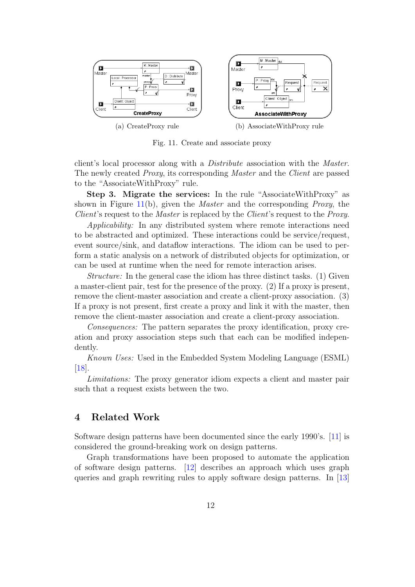

<span id="page-11-0"></span>Fig. 11. Create and associate proxy

client's local processor along with a Distribute association with the Master. The newly created Proxy, its corresponding Master and the Client are passed to the "AssociateWithProxy" rule.

Step 3. Migrate the services: In the rule "AssociateWithProxy" as shown in Figure [11\(](#page-11-0)b), given the *Master* and the corresponding *Proxy*, the Client's request to the *Master* is replaced by the *Client*'s request to the *Proxy*.

Applicability: In any distributed system where remote interactions need to be abstracted and optimized. These interactions could be service/request, event source/sink, and dataflow interactions. The idiom can be used to perform a static analysis on a network of distributed objects for optimization, or can be used at runtime when the need for remote interaction arises.

Structure: In the general case the idiom has three distinct tasks. (1) Given a master-client pair, test for the presence of the proxy. (2) If a proxy is present, remove the client-master association and create a client-proxy association. (3) If a proxy is not present, first create a proxy and link it with the master, then remove the client-master association and create a client-proxy association.

Consequences: The pattern separates the proxy identification, proxy creation and proxy association steps such that each can be modified independently.

Known Uses: Used in the Embedded System Modeling Language (ESML) [\[18\]](#page-13-11).

Limitations: The proxy generator idiom expects a client and master pair such that a request exists between the two.

# 4 Related Work

Software design patterns have been documented since the early 1990's. [\[11\]](#page-13-10) is considered the ground-breaking work on design patterns.

Graph transformations have been proposed to automate the application of software design patterns. [\[12\]](#page-13-2) describes an approach which uses graph queries and graph rewriting rules to apply software design patterns. In [\[13\]](#page-13-12)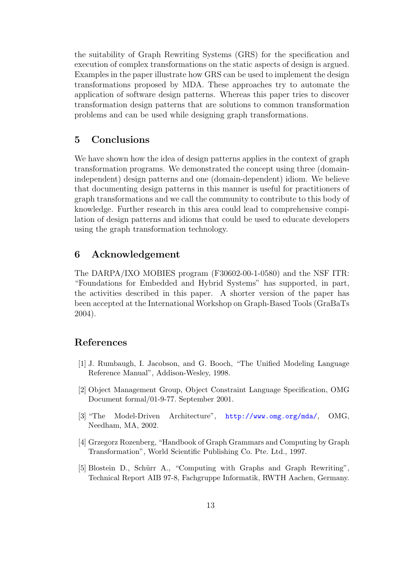the suitability of Graph Rewriting Systems (GRS) for the specification and execution of complex transformations on the static aspects of design is argued. Examples in the paper illustrate how GRS can be used to implement the design transformations proposed by MDA. These approaches try to automate the application of software design patterns. Whereas this paper tries to discover transformation design patterns that are solutions to common transformation problems and can be used while designing graph transformations.

# 5 Conclusions

We have shown how the idea of design patterns applies in the context of graph transformation programs. We demonstrated the concept using three (domainindependent) design patterns and one (domain-dependent) idiom. We believe that documenting design patterns in this manner is useful for practitioners of graph transformations and we call the community to contribute to this body of knowledge. Further research in this area could lead to comprehensive compilation of design patterns and idioms that could be used to educate developers using the graph transformation technology.

## 6 Acknowledgement

The DARPA/IXO MOBIES program (F30602-00-1-0580) and the NSF ITR: "Foundations for Embedded and Hybrid Systems" has supported, in part, the activities described in this paper. A shorter version of the paper has been accepted at the International Workshop on Graph-Based Tools (GraBaTs 2004).

# References

- <span id="page-12-3"></span>[1] J. Rumbaugh, I. Jacobson, and G. Booch, "The Unified Modeling Language Reference Manual", Addison-Wesley, 1998.
- <span id="page-12-4"></span>[2] Object Management Group, Object Constraint Language Specification, OMG Document formal/01-9-77. September 2001.
- <span id="page-12-1"></span>[3] "The Model-Driven Architecture", <http://www.omg.org/mda/>, OMG, Needham, MA, 2002.
- <span id="page-12-0"></span>[4] Grzegorz Rozenberg, "Handbook of Graph Grammars and Computing by Graph Transformation", World Scientific Publishing Co. Pte. Ltd., 1997.
- <span id="page-12-2"></span>[5] Blostein D., Schürr A., "Computing with Graphs and Graph Rewriting", Technical Report AIB 97-8, Fachgruppe Informatik, RWTH Aachen, Germany.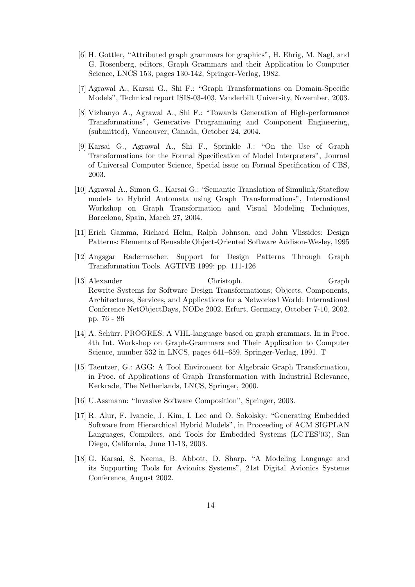- <span id="page-13-8"></span>[6] H. Gottler, "Attributed graph grammars for graphics", H. Ehrig, M. Nagl, and G. Rosenberg, editors, Graph Grammars and their Application lo Computer Science, LNCS 153, pages 130-142, Springer-Verlag, 1982.
- <span id="page-13-6"></span>[7] Agrawal A., Karsai G., Shi F.: "Graph Transformations on Domain-Specific Models", Technical report ISIS-03-403, Vanderbilt University, November, 2003.
- <span id="page-13-9"></span>[8] Vizhanyo A., Agrawal A., Shi F.: "Towards Generation of High-performance Transformations", Generative Programming and Component Engineering, (submitted), Vancouver, Canada, October 24, 2004.
- <span id="page-13-7"></span>[9] Karsai G., Agrawal A., Shi F., Sprinkle J.: "On the Use of Graph Transformations for the Formal Specification of Model Interpreters", Journal of Universal Computer Science, Special issue on Formal Specification of CBS, 2003.
- <span id="page-13-4"></span>[10] Agrawal A., Simon G., Karsai G.: "Semantic Translation of Simulink/Stateflow models to Hybrid Automata using Graph Transformations", International Workshop on Graph Transformation and Visual Modeling Techniques, Barcelona, Spain, March 27, 2004.
- <span id="page-13-10"></span>[11] Erich Gamma, Richard Helm, Ralph Johnson, and John Vlissides: Design Patterns: Elements of Reusable Object-Oriented Software Addison-Wesley, 1995
- <span id="page-13-2"></span>[12] Angsgar Radermacher. Support for Design Patterns Through Graph Transformation Tools. AGTIVE 1999: pp. 111-126
- <span id="page-13-12"></span>[13] Alexander Christoph. Graph Rewrite Systems for Software Design Transformations; Objects, Components, Architectures, Services, and Applications for a Networked World: International Conference NetObjectDays, NODe 2002, Erfurt, Germany, October 7-10, 2002. pp. 76 - 86
- <span id="page-13-0"></span>[14] A. Schürr. PROGRES: A VHL-language based on graph grammars. In in Proc. 4th Int. Workshop on Graph-Grammars and Their Application to Computer Science, number 532 in LNCS, pages 641–659. Springer-Verlag, 1991. T
- <span id="page-13-1"></span>[15] Taentzer, G.: AGG: A Tool Enviroment for Algebraic Graph Transformation, in Proc. of Applications of Graph Transformation with Industrial Relevance, Kerkrade, The Netherlands, LNCS, Springer, 2000.
- <span id="page-13-3"></span>[16] U.Assmann: "Invasive Software Composition", Springer, 2003.
- <span id="page-13-5"></span>[17] R. Alur, F. Ivancic, J. Kim, I. Lee and O. Sokolsky: "Generating Embedded Software from Hierarchical Hybrid Models", in Proceeding of ACM SIGPLAN Languages, Compilers, and Tools for Embedded Systems (LCTES'03), San Diego, California, June 11-13, 2003.
- <span id="page-13-11"></span>[18] G. Karsai, S. Neema, B. Abbott, D. Sharp. "A Modeling Language and its Supporting Tools for Avionics Systems", 21st Digital Avionics Systems Conference, August 2002.